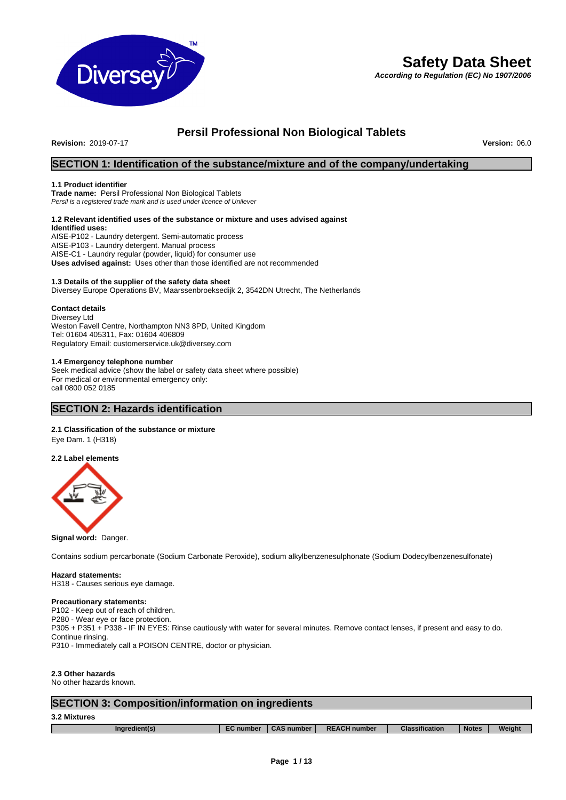

# **Safety Data Sheet**

*According to Regulation (EC) No 1907/2006*

# **Persil Professional Non Biological Tablets**

**Revision:** 2019-07-17 **Version:** 06.0

# **SECTION 1: Identification of the substance/mixture and of the company/undertaking**

### **1.1 Product identifier**

**Trade name:** Persil Professional Non Biological Tablets *Persil is a registered trade mark and is used under licence of Unilever*

#### **1.2 Relevant identified uses of the substance or mixture and uses advised against Identified uses:**

AISE-P102 - Laundry detergent. Semi-automatic process AISE-P103 - Laundry detergent. Manual process AISE-C1 - Laundry regular (powder, liquid) for consumer use **Uses advised against:** Uses other than those identified are not recommended

# **1.3 Details of the supplier of the safety data sheet**

Diversey Europe Operations BV, Maarssenbroeksedijk 2, 3542DN Utrecht, The Netherlands

# **Contact details**

Diversey Ltd Weston Favell Centre, Northampton NN3 8PD, United Kingdom Tel: 01604 405311, Fax: 01604 406809 Regulatory Email: customerservice.uk@diversey.com

# **1.4 Emergency telephone number**

Seek medical advice (show the label or safety data sheet where possible) For medical or environmental emergency only: call 0800 052 0185

# **SECTION 2: Hazards identification**

# **2.1 Classification of the substance or mixture**

Eye Dam. 1 (H318)

# **2.2 Label elements**



**Signal word:** Danger.

Contains sodium percarbonate (Sodium Carbonate Peroxide), sodium alkylbenzenesulphonate (Sodium Dodecylbenzenesulfonate)

# **Hazard statements:**

H318 - Causes serious eye damage.

# **Precautionary statements:**

P102 - Keep out of reach of children. P280 - Wear eye or face protection. P305 + P351 + P338 - IF IN EYES: Rinse cautiously with water for several minutes. Remove contact lenses, if present and easy to do. Continue rinsing. P310 - Immediately call a POISON CENTRE, doctor or physician.

**2.3 Other hazards**

No other hazards known.

# **SECTION 3: Composition/information on ingredients**

# **3.2 Mixtures**

| Ingredi |
|---------|
|         |

- **Ingredient(s) EC number CAS number REACH number Classification Notes Weight**
	-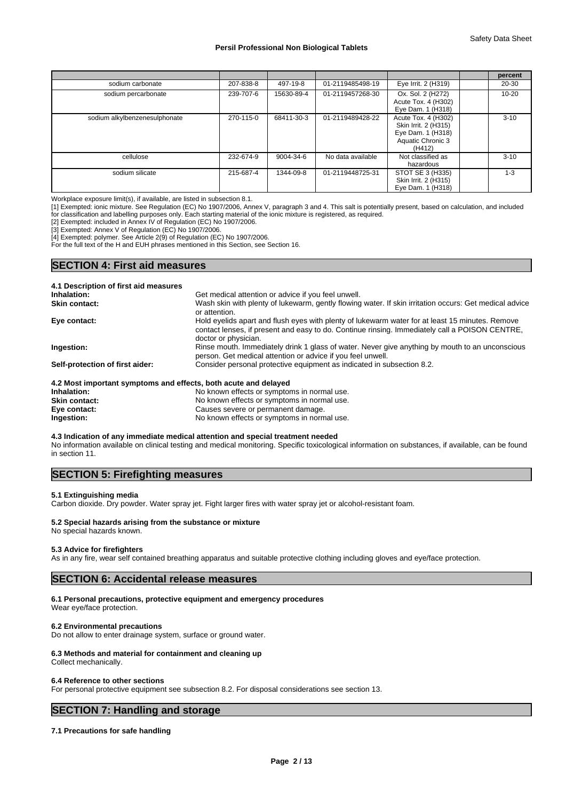|                               |           |            |                   |                                                                                                 | percent   |
|-------------------------------|-----------|------------|-------------------|-------------------------------------------------------------------------------------------------|-----------|
| sodium carbonate              | 207-838-8 | 497-19-8   | 01-2119485498-19  | Eye Irrit. 2 (H319)                                                                             | 20-30     |
| sodium percarbonate           | 239-707-6 | 15630-89-4 | 01-2119457268-30  | Ox. Sol. 2 (H272)<br>Acute Tox. 4 (H302)<br>Eye Dam. 1 (H318)                                   | $10 - 20$ |
| sodium alkylbenzenesulphonate | 270-115-0 | 68411-30-3 | 01-2119489428-22  | Acute Tox. 4 (H302)<br>Skin Irrit. 2 (H315)<br>Eye Dam. 1 (H318)<br>Aquatic Chronic 3<br>(H412) | $3 - 10$  |
| cellulose                     | 232-674-9 | 9004-34-6  | No data available | Not classified as<br>hazardous                                                                  | $3 - 10$  |
| sodium silicate               | 215-687-4 | 1344-09-8  | 01-2119448725-31  | STOT SE 3 (H335)<br>Skin Irrit. 2 (H315)<br>Eye Dam. 1 (H318)                                   | $1 - 3$   |

Workplace exposure limit(s), if available, are listed in subsection 8.1.

[1] Exempted: ionic mixture. See Regulation (EC) No 1907/2006, Annex V, paragraph 3 and 4. This salt is potentially present, based on calculation, and included for classification and labelling purposes only. Each starting material of the ionic mixture is registered, as required.

[2] Exempted: included in Annex IV of Regulation (EC) No 1907/2006.

[3] Exempted: Annex V of Regulation (EC) No 1907/2006.

[4] Exempted: polymer. See Article 2(9) of Regulation (EC) No 1907/2006.

For the full text of the H and EUH phrases mentioned in this Section, see Section 16.

# **SECTION 4: First aid measures**

| 4.1 Description of first aid measures                           |                                                                                                                                                                                                                           |
|-----------------------------------------------------------------|---------------------------------------------------------------------------------------------------------------------------------------------------------------------------------------------------------------------------|
| Inhalation:                                                     | Get medical attention or advice if you feel unwell.                                                                                                                                                                       |
| <b>Skin contact:</b>                                            | Wash skin with plenty of lukewarm, gently flowing water. If skin irritation occurs: Get medical advice<br>or attention.                                                                                                   |
| Eye contact:                                                    | Hold eyelids apart and flush eyes with plenty of lukewarm water for at least 15 minutes. Remove<br>contact lenses, if present and easy to do. Continue rinsing. Immediately call a POISON CENTRE,<br>doctor or physician. |
| Ingestion:                                                      | Rinse mouth. Immediately drink 1 glass of water. Never give anything by mouth to an unconscious<br>person. Get medical attention or advice if you feel unwell.                                                            |
| Self-protection of first aider:                                 | Consider personal protective equipment as indicated in subsection 8.2.                                                                                                                                                    |
| 4.2 Most important symptoms and effects, both acute and delayed |                                                                                                                                                                                                                           |
| Inhalation:                                                     | No known effects or symptoms in normal use.                                                                                                                                                                               |

| Inhalation:          | No known effects or symptoms in normal use. |
|----------------------|---------------------------------------------|
| <b>Skin contact:</b> | No known effects or symptoms in normal use. |
| Eye contact:         | Causes severe or permanent damage.          |
| Ingestion:           | No known effects or symptoms in normal use. |

# **4.3 Indication of any immediate medical attention and special treatment needed**

No information available on clinical testing and medical monitoring. Specific toxicological information on substances, if available, can be found in section 11.

# **SECTION 5: Firefighting measures**

#### **5.1 Extinguishing media**

Carbon dioxide. Dry powder. Water spray jet. Fight larger fires with water spray jet or alcohol-resistant foam.

# **5.2 Special hazards arising from the substance or mixture**

No special hazards known.

#### **5.3 Advice for firefighters**

As in any fire, wear self contained breathing apparatus and suitable protective clothing including gloves and eye/face protection.

# **SECTION 6: Accidental release measures**

#### **6.1 Personal precautions, protective equipment and emergency procedures**

Wear eye/face protection.

# **6.2 Environmental precautions**

Do not allow to enter drainage system, surface or ground water.

# **6.3 Methods and material for containment and cleaning up**

Collect mechanically.

#### **6.4 Reference to other sections**

For personal protective equipment see subsection 8.2. For disposal considerations see section 13.

# **SECTION 7: Handling and storage**

# **7.1 Precautions for safe handling**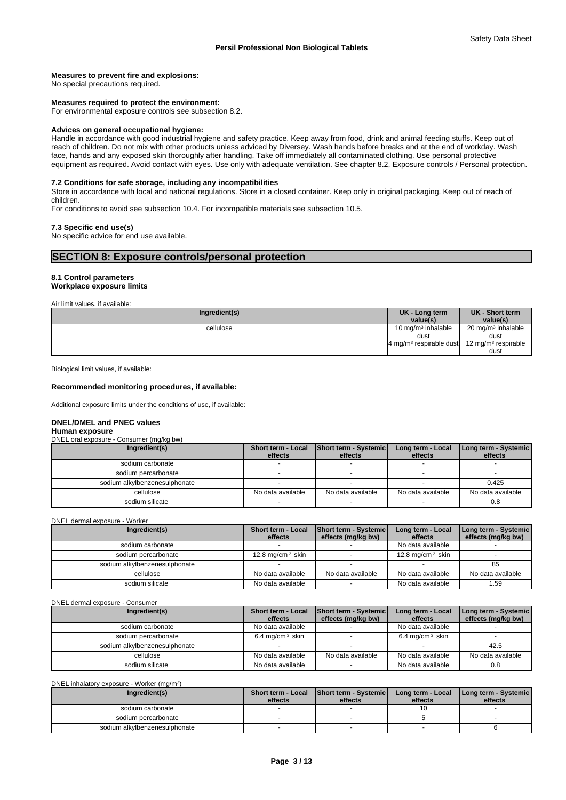### **Measures to prevent fire and explosions:**

No special precautions required.

#### **Measures required to protect the environment:**

For environmental exposure controls see subsection 8.2.

### **Advices on general occupational hygiene:**

Handle in accordance with good industrial hygiene and safety practice. Keep away from food, drink and animal feeding stuffs. Keep out of reach of children. Do not mix with other products unless adviced by Diversey. Wash hands before breaks and at the end of workday. Wash face, hands and any exposed skin thoroughly after handling. Take off immediately all contaminated clothing. Use personal protective equipment as required. Avoid contact with eyes. Use only with adequate ventilation. See chapter 8.2, Exposure controls / Personal protection.

#### **7.2 Conditions for safe storage, including any incompatibilities**

Store in accordance with local and national regulations. Store in a closed container. Keep only in original packaging. Keep out of reach of children.

For conditions to avoid see subsection 10.4. For incompatible materials see subsection 10.5.

#### **7.3 Specific end use(s)**

No specific advice for end use available.

# **SECTION 8: Exposure controls/personal protection**

### **8.1 Control parameters Workplace exposure limits**

Air limit values, if available:

| Ingredient(s) | UK - Long term<br>value(s)                    | UK - Short term<br>value(s)     |
|---------------|-----------------------------------------------|---------------------------------|
| cellulose     | 10 mg/m $3$ inhalable                         | 20 mg/m <sup>3</sup> inhalable  |
|               | dust                                          | dust                            |
|               | $4 \text{ mg/m}$ <sup>3</sup> respirable dust | 12 mg/m <sup>3</sup> respirable |
|               |                                               | dust                            |

Biological limit values, if available:

#### **Recommended monitoring procedures, if available:**

Additional exposure limits under the conditions of use, if available:

#### **DNEL/DMEL and PNEC values**

### **Human exposure**

DNEL oral exposure - Consumer (mg/kg bw)

| Ingredient(s)                 | Short term - Local<br>effects | Short term - Systemic<br>effects | Long term - Local<br>effects | Long term - Systemic<br>effects |
|-------------------------------|-------------------------------|----------------------------------|------------------------------|---------------------------------|
| sodium carbonate              |                               |                                  |                              |                                 |
| sodium percarbonate           |                               |                                  |                              |                                 |
| sodium alkylbenzenesulphonate |                               |                                  |                              | 0.425                           |
| cellulose                     | No data available             | No data available                | No data available            | No data available               |
| sodium silicate               |                               |                                  |                              | 0.8                             |

DNEL dermal exposure - Worker

| Ingredient(s)                 | <b>Short term - Local</b><br>effects | <b>Short term - Systemic</b><br>effects (mg/kg bw) | Long term - Local<br>effects | Long term - Systemic<br>effects (mg/kg bw) |
|-------------------------------|--------------------------------------|----------------------------------------------------|------------------------------|--------------------------------------------|
| sodium carbonate              |                                      |                                                    | No data available            |                                            |
| sodium percarbonate           | 12.8 mg/cm $2$ skin                  |                                                    | 12.8 mg/cm $2$ skin          |                                            |
| sodium alkylbenzenesulphonate |                                      |                                                    |                              | 85                                         |
| cellulose                     | No data available                    | No data available                                  | No data available            | No data available                          |
| sodium silicate               | No data available                    |                                                    | No data available            | 59،،                                       |

#### DNEL dermal exposure - Consumer

| Ingredient(s)                 | <b>Short term - Local</b><br>effects | <b>Short term - Systemic</b><br>effects (mg/kg bw) | Long term - Local<br>effects | Long term - Systemic<br>effects (mg/kg bw) |
|-------------------------------|--------------------------------------|----------------------------------------------------|------------------------------|--------------------------------------------|
| sodium carbonate              | No data available                    |                                                    | No data available            |                                            |
| sodium percarbonate           | 6.4 mg/cm $2$ skin                   |                                                    | 6.4 mg/cm <sup>2</sup> skin  |                                            |
| sodium alkylbenzenesulphonate |                                      |                                                    |                              | 42.5                                       |
| cellulose                     | No data available                    | No data available                                  | No data available            | No data available                          |
| sodium silicate               | No data available                    |                                                    | No data available            | 0.8                                        |

#### DNEL inhalatory exposure - Worker (mg/m<sup>3</sup>

| DNEL inhalatory exposure - Worker (mg/m <sup>3</sup> ) |         |                                                       |                              |                                 |  |  |  |
|--------------------------------------------------------|---------|-------------------------------------------------------|------------------------------|---------------------------------|--|--|--|
| Ingredient(s)                                          | effects | Short term - Local   Short term - Systemic<br>effects | Long term - Local<br>effects | Long term - Systemic<br>effects |  |  |  |
| sodium carbonate                                       |         |                                                       |                              |                                 |  |  |  |
| sodium percarbonate                                    |         |                                                       |                              |                                 |  |  |  |
| sodium alkylbenzenesulphonate                          |         |                                                       |                              |                                 |  |  |  |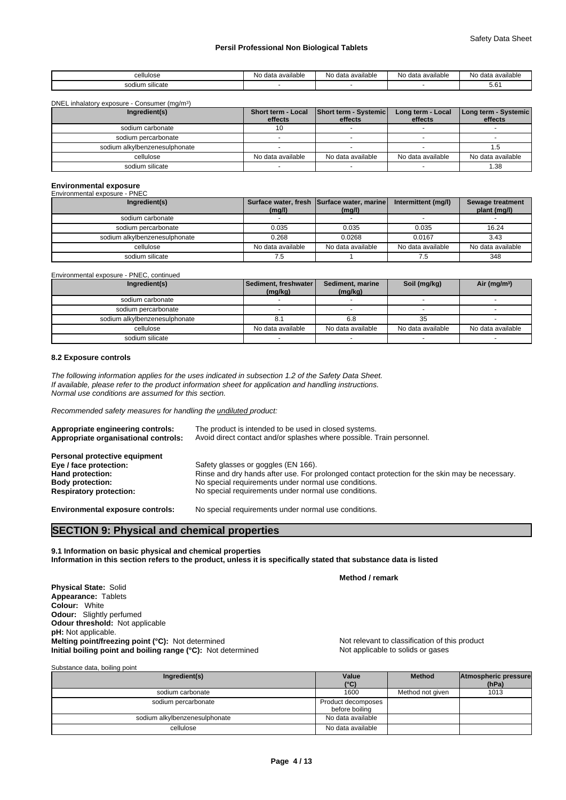| cellulose                                  | مامامانصيص<br>N∩<br>data<br>avallable | <br>N∩<br>ı data available | No<br>) data available | No<br>data available י |
|--------------------------------------------|---------------------------------------|----------------------------|------------------------|------------------------|
| ___<br>SO <sub>C</sub><br>n silicate<br>uu |                                       |                            |                        | 5.O.                   |

DNEL inhalatory exposure - Consumer (mg/m<sup>3</sup>)

| Short term - Local |                   | Long term - Local | Long term - Systemic                    |
|--------------------|-------------------|-------------------|-----------------------------------------|
|                    |                   |                   | effects                                 |
|                    |                   |                   |                                         |
|                    |                   |                   |                                         |
|                    |                   |                   |                                         |
| No data available  | No data available | No data available | No data available                       |
|                    |                   |                   | 38. ا                                   |
|                    | effects           | effects           | <b>Short term - Systemic</b><br>effects |

# **Environmental exposure** Environmental exposure - PNEC

| Liiviluillielilai exposule - FINLC |                   |                                                      |                     |                                  |
|------------------------------------|-------------------|------------------------------------------------------|---------------------|----------------------------------|
| Ingredient(s)                      | (mg/l)            | Surface water, fresh Surface water, marine<br>(mg/l) | Intermittent (mg/l) | Sewage treatment<br>plant (mg/l) |
| sodium carbonate                   |                   |                                                      |                     |                                  |
| sodium percarbonate                | 0.035             | 0.035                                                | 0.035               | 16.24                            |
| sodium alkylbenzenesulphonate      | 0.268             | 0.0268                                               | 0.0167              | 3.43                             |
| cellulose                          | No data available | No data available                                    | No data available   | No data available                |
| sodium silicate                    |                   |                                                      |                     | 348                              |

Environmental exposure - PNEC, continued

| Ingredient(s)                 | Sediment, freshwater  <br>(mg/kg) | Sediment, marine<br>(mg/kg) | Soil (mg/kg)      | Air ( $mg/m3$ )   |
|-------------------------------|-----------------------------------|-----------------------------|-------------------|-------------------|
| sodium carbonate              |                                   |                             |                   |                   |
| sodium percarbonate           |                                   |                             |                   |                   |
| sodium alkylbenzenesulphonate | o.                                | 6.8                         | 35                |                   |
| cellulose                     | No data available                 | No data available           | No data available | No data available |
| sodium silicate               |                                   |                             |                   |                   |

## **8.2 Exposure controls**

*The following information applies for the uses indicated in subsection 1.2 of the Safety Data Sheet. If available, please refer to the product information sheet for application and handling instructions. Normal use conditions are assumed for this section.*

*Recommended safety measures for handling the undiluted product:*

| Appropriate engineering controls:<br>Appropriate organisational controls: | The product is intended to be used in closed systems.<br>Avoid direct contact and/or splashes where possible. Train personnel. |
|---------------------------------------------------------------------------|--------------------------------------------------------------------------------------------------------------------------------|
| Personal protective equipment                                             |                                                                                                                                |
| Eye / face protection:                                                    | Safety glasses or goggles (EN 166).                                                                                            |
| Hand protection:                                                          | Rinse and dry hands after use. For prolonged contact protection for the skin may be necessary.                                 |
| <b>Body protection:</b>                                                   | No special requirements under normal use conditions.                                                                           |
| <b>Respiratory protection:</b>                                            | No special requirements under normal use conditions.                                                                           |
| <b>Environmental exposure controls:</b>                                   | No special requirements under normal use conditions.                                                                           |

# **SECTION 9: Physical and chemical properties**

**9.1 Information on basic physical and chemical properties Information in this section refers to the product, unless it is specifically stated that substance data is listed**

**Method / remark**

**Physical State:** Solid **Appearance:** Tablets **Colour:** White **Odour:** Slightly perfumed **Odour threshold:** Not applicable **pH:** Not applicable. **Melting point/freezing point (°C):** Not determined Not relevant to classification of this product **Initial boiling point and boiling range (°C):** Not determined Not applicable to solids or gases

| Substance data, boiling point |                                      |                  |                               |
|-------------------------------|--------------------------------------|------------------|-------------------------------|
| Ingredient(s)                 | Value<br>$(^{\circ}C)$               | <b>Method</b>    | Atmospheric pressure<br>(hPa) |
| sodium carbonate              | 1600                                 | Method not given | 1013                          |
| sodium percarbonate           | Product decomposes<br>before boiling |                  |                               |
| sodium alkylbenzenesulphonate | No data available                    |                  |                               |
| cellulose                     | No data available                    |                  |                               |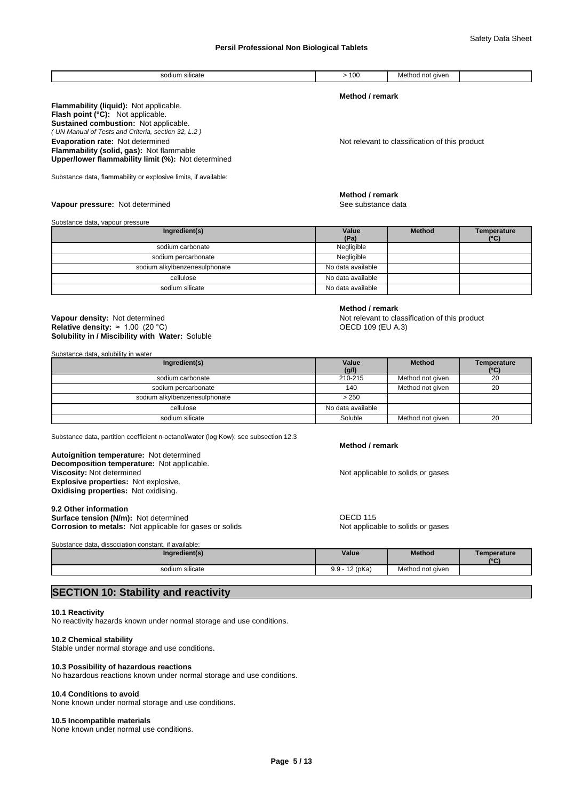Safety Data Sheet

| $\cdots$<br>sod<br>ium silicate | $\cdot$ $\sim$ $\cdot$<br>vu<br>__ | Method<br>l not aiven |  |
|---------------------------------|------------------------------------|-----------------------|--|

# **Method / remark**

**Flammability (liquid):** Not applicable. *( UN Manual of Tests and Criteria, section 32, L.2 )* **Flash point (°C):** Not applicable. **Sustained combustion:** Not applicable. **Evaporation rate:** Not determined **Notice 1 and 1 and 1 and 1 and 1 and 1 and 1 and 1 and 1 and 1 and 1 and 1 and 1 and 1 and 1 and 1 and 1 and 1 and 1 and 1 and 1 and 1 and 1 and 1 and 1 and 1 and 1 and 1 and 1 and 1 and Flammability (solid, gas):** Not flammable **Upper/lower flammability limit (%):** Not determined

Substance data, flammability or explosive limits, if available:

#### **Vapour pressure:** Not determined **See substance data** See substance data

Substance data, vapour pressure

| Ingredient(s)                 | Value<br>(Pa)     | <b>Method</b> | Temperature<br>$(^{\circ}C)$ |
|-------------------------------|-------------------|---------------|------------------------------|
| sodium carbonate              | Negligible        |               |                              |
| sodium percarbonate           | Negligible        |               |                              |
| sodium alkylbenzenesulphonate | No data available |               |                              |
| cellulose                     | No data available |               |                              |
| sodium silicate               | No data available |               |                              |

# **Solubility in / Miscibility with Water:** Soluble **Vapour density:** Not determined **Notify and COV** Not relevant to classification of this product **Relative density: ≈ 1.00 (20 °C) CONSERVERSITY: THE SECUP OF CONSERVERSITY: THE OF CONSERVERSITY: THE OF CONSERVERSITY: THE OF CONSERVERSITY: THE OF CONSERVERSITY: THE OF CONSERVERSITY: THE OF CONSERVERSITY: THE OF CONSE**

Substance data, solubility in water

| Ingredient(s)                 | Value             | <b>Method</b>    | Temperature |
|-------------------------------|-------------------|------------------|-------------|
|                               | (g/l)             |                  | (°C)        |
| sodium carbonate              | 210-215           | Method not given | 20          |
| sodium percarbonate           | 140               | Method not given | 20          |
| sodium alkylbenzenesulphonate | > 250             |                  |             |
| cellulose                     | No data available |                  |             |
| sodium silicate               | Soluble           | Method not given | 20          |

Substance data, partition coefficient n-octanol/water (log Kow): see subsection 12.3

**Decomposition temperature:** Not applicable. **Autoignition temperature:** Not determined **Viscosity:** Not determined **Not applicable to solids or gases Explosive properties:** Not explosive. **Oxidising properties:** Not oxidising.

#### **9.2 Other information**

**Surface tension (N/m):** Not determined **OECD 115 Corrosion to metals:** Not applicable for gases or solids Not applicable to solids or gases

#### **Method / remark**

Substance data, dissociation constant, if available:

| Ingredient(s)   | Value                      | <b>Method</b>              | <b>Femperature</b><br>$\sim$<br>$\sim$ |
|-----------------|----------------------------|----------------------------|----------------------------------------|
| sodium silicate | 12 (pKa)<br>$\alpha$<br>ິ∙ | Method not given<br>$\sim$ |                                        |

# **SECTION 10: Stability and reactivity**

# **10.1 Reactivity**

No reactivity hazards known under normal storage and use conditions.

# **10.2 Chemical stability**

Stable under normal storage and use conditions.

# **10.3 Possibility of hazardous reactions**

No hazardous reactions known under normal storage and use conditions.

# **10.4 Conditions to avoid**

None known under normal storage and use conditions.

# **10.5 Incompatible materials**

None known under normal use conditions.

**Method / remark**

**Method / remark**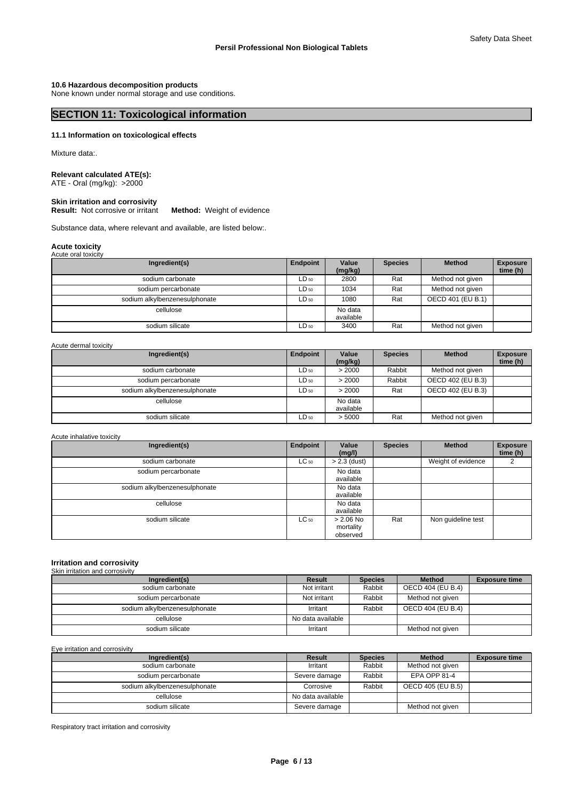Safety Data Sheet

**10.6 Hazardous decomposition products** None known under normal storage and use conditions.

# **SECTION 11: Toxicological information**

### **11.1 Information on toxicological effects**

Mixture data:.

# **Relevant calculated ATE(s):**

ATE - Oral (mg/kg): >2000

#### **Skin irritation and corrosivity Result:** Not corrosive or irritant **Method:** Weight of evidence

Substance data, where relevant and available, are listed below:.

# **Acute toxicity** Acute oral toxicity

| ,                             |           |                      |                |                   |                             |
|-------------------------------|-----------|----------------------|----------------|-------------------|-----------------------------|
| Ingredient(s)                 | Endpoint  | Value<br>(mg/kg)     | <b>Species</b> | <b>Method</b>     | <b>Exposure</b><br>time (h) |
| sodium carbonate              | $LD_{50}$ | 2800                 | Rat            | Method not given  |                             |
| sodium percarbonate           | $LD_{50}$ | 1034                 | Rat            | Method not given  |                             |
| sodium alkylbenzenesulphonate | $LD_{50}$ | 1080                 | Rat            | OECD 401 (EU B.1) |                             |
| cellulose                     |           | No data<br>available |                |                   |                             |
| sodium silicate               | $LD_{50}$ | 3400                 | Rat            | Method not given  |                             |

Acute dermal toxicity

| Ingredient(s)                 | Endpoint  | Value<br>(mg/kg) | <b>Species</b> | <b>Method</b>     | <b>Exposure</b><br>time (h) |
|-------------------------------|-----------|------------------|----------------|-------------------|-----------------------------|
| sodium carbonate              | $LD_{50}$ | > 2000           | Rabbit         | Method not given  |                             |
| sodium percarbonate           | $LD_{50}$ | > 2000           | Rabbit         | OECD 402 (EU B.3) |                             |
| sodium alkylbenzenesulphonate | $LD_{50}$ | > 2000           | Rat            | OECD 402 (EU B.3) |                             |
| cellulose                     |           | No data          |                |                   |                             |
|                               |           | available        |                |                   |                             |
| sodium silicate               | $LD_{50}$ | > 5000           | Rat            | Method not given  |                             |

Acute inhalative toxicity

| Ingredient(s)                 | Endpoint  | Value<br>(mg/l)                      | <b>Species</b> | <b>Method</b>      | <b>Exposure</b><br>time (h) |
|-------------------------------|-----------|--------------------------------------|----------------|--------------------|-----------------------------|
| sodium carbonate              | $LC_{50}$ | $> 2.3$ (dust)                       |                | Weight of evidence |                             |
| sodium percarbonate           |           | No data<br>available                 |                |                    |                             |
| sodium alkylbenzenesulphonate |           | No data<br>available                 |                |                    |                             |
| cellulose                     |           | No data<br>available                 |                |                    |                             |
| sodium silicate               | $LC_{50}$ | $> 2.06$ No<br>mortality<br>observed | Rat            | Non guideline test |                             |

#### **Irritation and corrosivity** Skin irritation and corrosivity

| Ingredient(s)                 | Result            | <b>Species</b> | <b>Method</b>     | <b>Exposure time</b> |
|-------------------------------|-------------------|----------------|-------------------|----------------------|
| sodium carbonate              | Not irritant      | Rabbit         | OECD 404 (EU B.4) |                      |
| sodium percarbonate           | Not irritant      | Rabbit         | Method not given  |                      |
| sodium alkylbenzenesulphonate | Irritant          | Rabbit         | OECD 404 (EU B.4) |                      |
| cellulose                     | No data available |                |                   |                      |
| sodium silicate               | Irritant          |                | Method not given  |                      |

Eye irritation and corrosivity

| Ingredient(s)                 | Result            | <b>Species</b> | <b>Method</b>     | <b>Exposure time</b> |
|-------------------------------|-------------------|----------------|-------------------|----------------------|
| sodium carbonate              | Irritant          | Rabbit         | Method not given  |                      |
| sodium percarbonate           | Severe damage     | Rabbit         | EPA OPP 81-4      |                      |
| sodium alkylbenzenesulphonate | Corrosive         | Rabbit         | OECD 405 (EU B.5) |                      |
| cellulose                     | No data available |                |                   |                      |
| sodium silicate               | Severe damage     |                | Method not given  |                      |

Respiratory tract irritation and corrosivity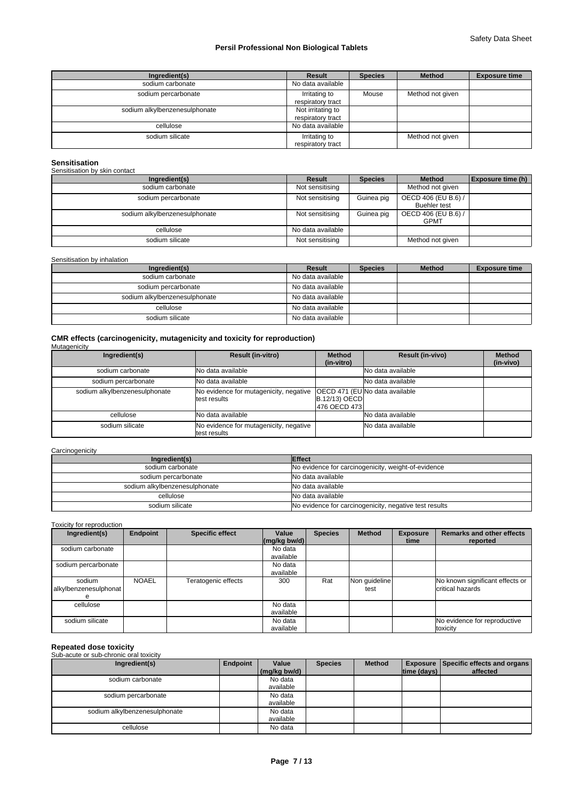| Ingredient(s)                 | Result                                 | <b>Species</b> | <b>Method</b>    | <b>Exposure time</b> |
|-------------------------------|----------------------------------------|----------------|------------------|----------------------|
| sodium carbonate              | No data available                      |                |                  |                      |
| sodium percarbonate           | Irritating to<br>respiratory tract     | Mouse          | Method not given |                      |
| sodium alkylbenzenesulphonate | Not irritating to<br>respiratory tract |                |                  |                      |
| cellulose                     | No data available                      |                |                  |                      |
| sodium silicate               | Irritating to<br>respiratory tract     |                | Method not given |                      |

# **Sensitisation**

| Sensitisation by skin contact |                   |                |                                            |                          |
|-------------------------------|-------------------|----------------|--------------------------------------------|--------------------------|
| Ingredient(s)                 | Result            | <b>Species</b> | <b>Method</b>                              | <b>Exposure time (h)</b> |
| sodium carbonate              | Not sensitising   |                | Method not given                           |                          |
| sodium percarbonate           | Not sensitising   | Guinea pig     | OECD 406 (EU B.6) /<br><b>Buehler</b> test |                          |
| sodium alkylbenzenesulphonate | Not sensitising   | Guinea pig     | OECD 406 (EU B.6) /<br><b>GPMT</b>         |                          |
| cellulose                     | No data available |                |                                            |                          |
| sodium silicate               | Not sensitising   |                | Method not given                           |                          |

#### Sensitisation by inhalation

| Ingredient(s)                 | Result            | <b>Species</b> | <b>Method</b> | <b>Exposure time</b> |
|-------------------------------|-------------------|----------------|---------------|----------------------|
| sodium carbonate              | No data available |                |               |                      |
| sodium percarbonate           | No data available |                |               |                      |
| sodium alkylbenzenesulphonate | No data available |                |               |                      |
| cellulose                     | No data available |                |               |                      |
| sodium silicate               | No data available |                |               |                      |

# **CMR effects (carcinogenicity, mutagenicity and toxicity for reproduction)** Mutagenicity

| Ingredient(s)                 | <b>Result (in-vitro)</b>                               | <b>Method</b><br>(in-vitro)            | <b>Result (in-vivo)</b>                | <b>Method</b><br>(in-vivo) |
|-------------------------------|--------------------------------------------------------|----------------------------------------|----------------------------------------|----------------------------|
| sodium carbonate              | <b>No data available</b>                               |                                        | No data available                      |                            |
| sodium percarbonate           | <b>No data available</b>                               |                                        | No data available                      |                            |
| sodium alkylbenzenesulphonate | No evidence for mutagenicity, negative<br>test results | <b>B.12/13) OECD</b><br>1476 OECD 4731 | <b>IOECD 471 (EUINo data available</b> |                            |
| cellulose                     | <b>No data available</b>                               |                                        | INo data available                     |                            |
| sodium silicate               | No evidence for mutagenicity, negative<br>test results |                                        | No data available                      |                            |

### **Carcinogenicity**

| Ingredient(s)                 | <b>Effect</b>                                          |
|-------------------------------|--------------------------------------------------------|
| sodium carbonate              | No evidence for carcinogenicity, weight-of-evidence    |
| sodium percarbonate           | No data available                                      |
| sodium alkylbenzenesulphonate | No data available                                      |
| cellulose                     | No data available                                      |
| sodium silicate               | No evidence for carcinogenicity, negative test results |

# Toxicity for reproduction

| Ingredient(s)                   | <b>Endpoint</b> | <b>Specific effect</b> | Value<br>$\left \frac{\text{mg}}{\text{kg}}\right $ bw/d) | <b>Species</b> | <b>Method</b>         | <b>Exposure</b><br>time | <b>Remarks and other effects</b><br>reported        |
|---------------------------------|-----------------|------------------------|-----------------------------------------------------------|----------------|-----------------------|-------------------------|-----------------------------------------------------|
| sodium carbonate                |                 |                        | No data<br>available                                      |                |                       |                         |                                                     |
| sodium percarbonate             |                 |                        | No data<br>available                                      |                |                       |                         |                                                     |
| sodium<br>alkylbenzenesulphonat | <b>NOAEL</b>    | Teratogenic effects    | 300                                                       | Rat            | Non quideline<br>test |                         | No known significant effects or<br>critical hazards |
| cellulose                       |                 |                        | No data<br>available                                      |                |                       |                         |                                                     |
| sodium silicate                 |                 |                        | No data<br>available                                      |                |                       |                         | No evidence for reproductive<br>toxicity            |

**Repeated dose toxicity** Sub-acute or sub-chronic oral toxicity

| Ingredient(s)                 | Endpoint | Value<br>(mg/kg bw/d) | <b>Species</b> | <b>Method</b> | time (days) | <b>Exposure Specific effects and organs</b><br>affected |
|-------------------------------|----------|-----------------------|----------------|---------------|-------------|---------------------------------------------------------|
| sodium carbonate              |          | No data<br>available  |                |               |             |                                                         |
| sodium percarbonate           |          | No data<br>available  |                |               |             |                                                         |
| sodium alkylbenzenesulphonate |          | No data<br>available  |                |               |             |                                                         |
| cellulose                     |          | No data               |                |               |             |                                                         |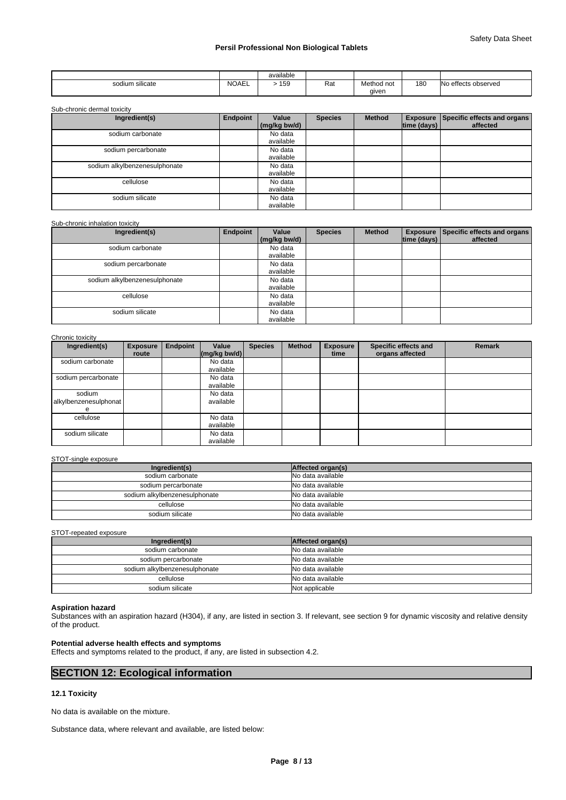|                     |              | .<br>available |     |            |     |                           |
|---------------------|--------------|----------------|-----|------------|-----|---------------------------|
| <br>sodium silicate | <b>NOAEL</b> | $ -$<br>ເວນ    | Rat | Method not | 180 | IN0<br>) effects observed |
|                     |              |                |     | aiven      |     |                           |

Sub-chronic dermal toxicity

| Ingredient(s)                 | Endpoint | Value<br>(mg/kg bw/d) | <b>Species</b> | <b>Method</b> | time (days) | Exposure Specific effects and organs<br>affected |
|-------------------------------|----------|-----------------------|----------------|---------------|-------------|--------------------------------------------------|
| sodium carbonate              |          | No data<br>available  |                |               |             |                                                  |
| sodium percarbonate           |          | No data<br>available  |                |               |             |                                                  |
| sodium alkylbenzenesulphonate |          | No data<br>available  |                |               |             |                                                  |
| cellulose                     |          | No data<br>available  |                |               |             |                                                  |
| sodium silicate               |          | No data<br>available  |                |               |             |                                                  |

### Sub-chronic inhalation toxicity

| Ingredient(s)                 | Endpoint | Value<br>(mg/kg bw/d) | <b>Species</b> | <b>Method</b> | time (days) | <b>Exposure   Specific effects and organs  </b><br>affected |
|-------------------------------|----------|-----------------------|----------------|---------------|-------------|-------------------------------------------------------------|
| sodium carbonate              |          | No data<br>available  |                |               |             |                                                             |
| sodium percarbonate           |          | No data<br>available  |                |               |             |                                                             |
| sodium alkylbenzenesulphonate |          | No data<br>available  |                |               |             |                                                             |
| cellulose                     |          | No data<br>available  |                |               |             |                                                             |
| sodium silicate               |          | No data<br>available  |                |               |             |                                                             |

#### Chronic toxicity

| Ingredient(s)                        | <b>Exposure</b><br>route | <b>Endpoint</b> | Value<br>$\left \frac{\text{mg}}{\text{kg}}\right $ (mg/kg bw/d) | <b>Species</b> | <b>Method</b> | <b>Exposure</b><br>time | Specific effects and<br>organs affected | <b>Remark</b> |
|--------------------------------------|--------------------------|-----------------|------------------------------------------------------------------|----------------|---------------|-------------------------|-----------------------------------------|---------------|
| sodium carbonate                     |                          |                 | No data<br>available                                             |                |               |                         |                                         |               |
| sodium percarbonate                  |                          |                 | No data<br>available                                             |                |               |                         |                                         |               |
| sodium<br>alkylbenzenesulphonat<br>е |                          |                 | No data<br>available                                             |                |               |                         |                                         |               |
| cellulose                            |                          |                 | No data<br>available                                             |                |               |                         |                                         |               |
| sodium silicate                      |                          |                 | No data<br>available                                             |                |               |                         |                                         |               |

# STOT-single exposure

| Ingredient(s)                 | Affected organ(s) |
|-------------------------------|-------------------|
| sodium carbonate              | No data available |
| sodium percarbonate           | No data available |
| sodium alkylbenzenesulphonate | No data available |
| cellulose                     | No data available |
| sodium silicate               | No data available |

STOT-repeated exposure

| Ingredient(s)                 | Affected organ(s) |
|-------------------------------|-------------------|
| sodium carbonate              | No data available |
| sodium percarbonate           | No data available |
| sodium alkylbenzenesulphonate | No data available |
| cellulose                     | No data available |
| sodium silicate               | Not applicable    |

# **Aspiration hazard**

Substances with an aspiration hazard (H304), if any, are listed in section 3. If relevant, see section 9 for dynamic viscosity and relative density of the product.

# **Potential adverse health effects and symptoms**

Effects and symptoms related to the product, if any, are listed in subsection 4.2.

# **SECTION 12: Ecological information**

# **12.1 Toxicity**

No data is available on the mixture.

Substance data, where relevant and available, are listed below: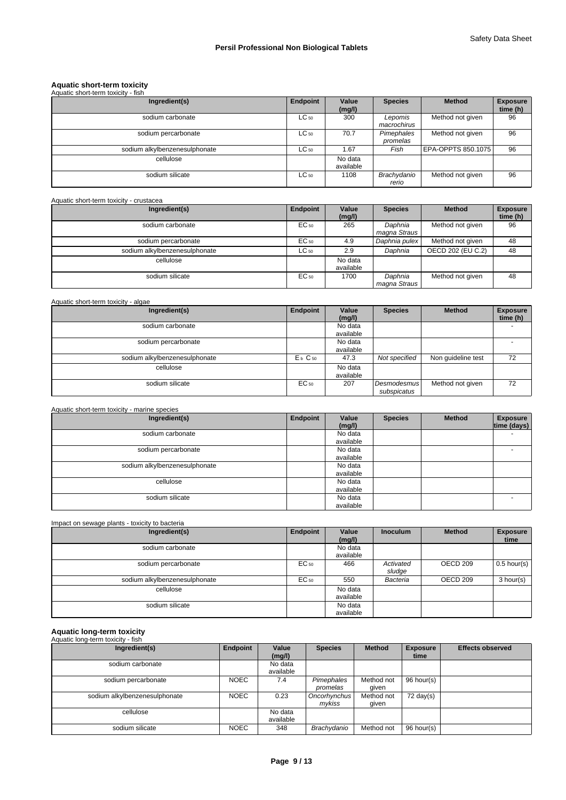# **Aquatic short-term toxicity** Aquatic short-term toxicity - fish

| Aquatic short-term toxicity - fish |           |                      |                        |                    |                             |
|------------------------------------|-----------|----------------------|------------------------|--------------------|-----------------------------|
| Ingredient(s)                      | Endpoint  | Value<br>(mg/l)      | <b>Species</b>         | <b>Method</b>      | <b>Exposure</b><br>time (h) |
| sodium carbonate                   | $LC_{50}$ | 300                  | Lepomis<br>macrochirus | Method not given   | 96                          |
| sodium percarbonate                | $LC_{50}$ | 70.7                 | Pimephales<br>promelas | Method not given   | 96                          |
| sodium alkylbenzenesulphonate      | $LC_{50}$ | 1.67                 | Fish                   | EPA-OPPTS 850.1075 | 96                          |
| cellulose                          |           | No data<br>available |                        |                    |                             |
| sodium silicate                    | $LC_{50}$ | 1108                 | Brachydanio<br>rerio   | Method not given   | 96                          |

# Aquatic short-term toxicity - crustacea

| Ingredient(s)                 | Endpoint  | Value<br>(mg/l)      | <b>Species</b>          | <b>Method</b>     | <b>Exposure</b><br>time (h) |
|-------------------------------|-----------|----------------------|-------------------------|-------------------|-----------------------------|
| sodium carbonate              | EC 50     | 265                  | Daphnia<br>magna Straus | Method not given  | 96                          |
| sodium percarbonate           | EC 50     | 4.9                  | Daphnia pulex           | Method not given  | 48                          |
| sodium alkylbenzenesulphonate | $LC_{50}$ | 2.9                  | Daphnia                 | OECD 202 (EU C.2) | 48                          |
| cellulose                     |           | No data<br>available |                         |                   |                             |
| sodium silicate               | EC 50     | 1700                 | Daphnia<br>magna Straus | Method not given  | 48                          |

# Aquatic short-term toxicity - algae

| Ingredient(s)                 | Endpoint   | Value<br>(mg/l) | <b>Species</b>             | <b>Method</b>      | <b>Exposure</b><br>time (h) |
|-------------------------------|------------|-----------------|----------------------------|--------------------|-----------------------------|
| sodium carbonate              |            | No data         |                            |                    |                             |
|                               |            | available       |                            |                    |                             |
| sodium percarbonate           |            | No data         |                            |                    |                             |
|                               |            | available       |                            |                    |                             |
| sodium alkylbenzenesulphonate | $Eb$ $C50$ | 47.3            | Not specified              | Non quideline test | 72                          |
| cellulose                     |            | No data         |                            |                    |                             |
|                               |            | available       |                            |                    |                             |
| sodium silicate               | EC 50      | 207             | Desmodesmus<br>subspicatus | Method not given   | 72                          |

# Aquatic short-term toxicity - marine species

| Ingredient(s)                 | Endpoint | Value<br>(mg/l) | <b>Species</b> | <b>Method</b> | <b>Exposure</b><br>time (days) |
|-------------------------------|----------|-----------------|----------------|---------------|--------------------------------|
| sodium carbonate              |          | No data         |                |               | $\overline{\phantom{0}}$       |
|                               |          | available       |                |               |                                |
| sodium percarbonate           |          | No data         |                |               | $\overline{\phantom{0}}$       |
|                               |          | available       |                |               |                                |
| sodium alkylbenzenesulphonate |          | No data         |                |               |                                |
|                               |          | available       |                |               |                                |
| cellulose                     |          | No data         |                |               |                                |
|                               |          | available       |                |               |                                |
| sodium silicate               |          | No data         |                |               | -                              |
|                               |          | available       |                |               |                                |

# Impact on sewage plants - toxicity to bacteria

| Ingredient(s)                 | Endpoint  | Value<br>(mg/l)      | <b>Inoculum</b>     | <b>Method</b> | <b>Exposure</b><br>time |
|-------------------------------|-----------|----------------------|---------------------|---------------|-------------------------|
| sodium carbonate              |           | No data<br>available |                     |               |                         |
| sodium percarbonate           | EC 50     | 466                  | Activated<br>sludge | OECD 209      | $0.5$ hour(s)           |
| sodium alkylbenzenesulphonate | $EC_{50}$ | 550                  | Bacteria            | OECD 209      | 3 hour(s)               |
| cellulose                     |           | No data<br>available |                     |               |                         |
| sodium silicate               |           | No data<br>available |                     |               |                         |

# **Aquatic long-term toxicity** Aquatic long-term toxicity - fish

| Ingredient(s)                 | Endpoint    | Value<br>(mg/l)      | <b>Species</b>         | <b>Method</b>       | <b>Exposure</b><br>time | <b>Effects observed</b> |
|-------------------------------|-------------|----------------------|------------------------|---------------------|-------------------------|-------------------------|
| sodium carbonate              |             | No data<br>available |                        |                     |                         |                         |
| sodium percarbonate           | <b>NOEC</b> | 7.4                  | Pimephales<br>promelas | Method not<br>qiven | 96 hour(s)              |                         |
| sodium alkylbenzenesulphonate | <b>NOEC</b> | 0.23                 | Oncorhynchus<br>mykiss | Method not<br>qiven | $72 \text{ day}(s)$     |                         |
| cellulose                     |             | No data<br>available |                        |                     |                         |                         |
| sodium silicate               | <b>NOEC</b> | 348                  | Brachydanio            | Method not          | 96 hour(s)              |                         |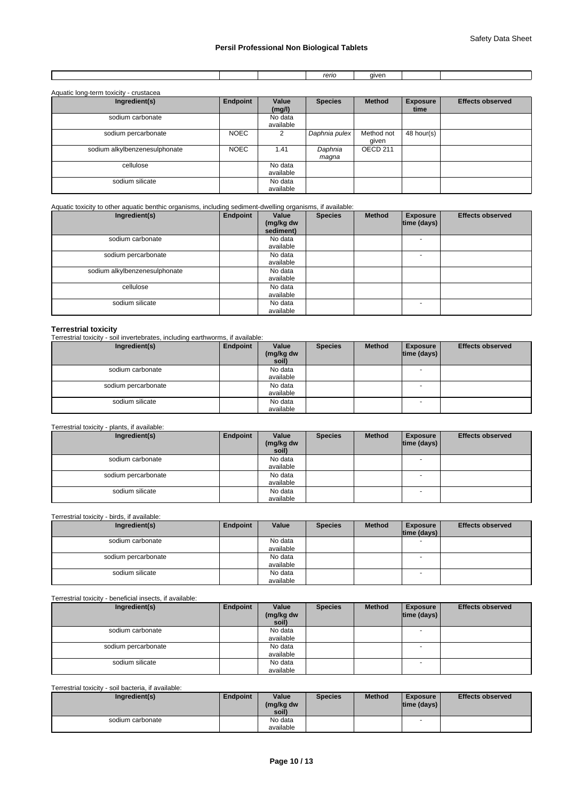|  | $- - - -$<br>arıc<br>טווסו | <b>AIVA</b> |  |
|--|----------------------------|-------------|--|
|  |                            |             |  |

| Aquatic long-term toxicity - crustacea |             |                      |                  |                     |                         |                         |
|----------------------------------------|-------------|----------------------|------------------|---------------------|-------------------------|-------------------------|
| Ingredient(s)                          | Endpoint    | Value<br>(mg/l)      | <b>Species</b>   | <b>Method</b>       | <b>Exposure</b><br>time | <b>Effects observed</b> |
| sodium carbonate                       |             | No data<br>available |                  |                     |                         |                         |
| sodium percarbonate                    | <b>NOEC</b> | 2                    | Daphnia pulex    | Method not<br>qiven | 48 hour(s)              |                         |
| sodium alkylbenzenesulphonate          | <b>NOEC</b> | 1.41                 | Daphnia<br>maqna | OECD <sub>211</sub> |                         |                         |
| cellulose                              |             | No data<br>available |                  |                     |                         |                         |
| sodium silicate                        |             | No data<br>available |                  |                     |                         |                         |

Aquatic toxicity to other aquatic benthic organisms, including sediment-dwelling organisms, if available:

| Ingredient(s)                 | Endpoint | Value<br>(mg/kg dw<br>sediment) | <b>Species</b> | <b>Method</b> | <b>Exposure</b><br> time (days) | <b>Effects observed</b> |
|-------------------------------|----------|---------------------------------|----------------|---------------|---------------------------------|-------------------------|
| sodium carbonate              |          | No data<br>available            |                |               |                                 |                         |
| sodium percarbonate           |          | No data<br>available            |                |               | <b>-</b>                        |                         |
| sodium alkylbenzenesulphonate |          | No data<br>available            |                |               |                                 |                         |
| cellulose                     |          | No data<br>available            |                |               |                                 |                         |
| sodium silicate               |          | No data<br>available            |                |               | $\overline{\phantom{0}}$        |                         |

**Terrestrial toxicity** Terrestrial toxicity - soil invertebrates, including earthworms, if available:

| Ingredient(s)       | Endpoint | Value<br>(mg/kg dw<br>soil) | <b>Species</b> | <b>Method</b> | <b>Exposure</b><br>$ time$ (days) $ $ | <b>Effects observed</b> |
|---------------------|----------|-----------------------------|----------------|---------------|---------------------------------------|-------------------------|
| sodium carbonate    |          | No data<br>available        |                |               | $\overline{\phantom{a}}$              |                         |
| sodium percarbonate |          | No data<br>available        |                |               |                                       |                         |
| sodium silicate     |          | No data<br>available        |                |               | $\overline{\phantom{a}}$              |                         |

Terrestrial toxicity - plants, if available:

| Ingredient(s)       | Endpoint | Value<br>(mg/kg dw<br>soil) | <b>Species</b> | <b>Method</b> | <b>Exposure</b><br> time (days) | <b>Effects observed</b> |
|---------------------|----------|-----------------------------|----------------|---------------|---------------------------------|-------------------------|
| sodium carbonate    |          | No data<br>available        |                |               | $\overline{\phantom{0}}$        |                         |
| sodium percarbonate |          | No data<br>available        |                |               |                                 |                         |
| sodium silicate     |          | No data<br>available        |                |               |                                 |                         |

# Terrestrial toxicity - birds, if available:

| Ingredient(s)       | Endpoint | Value     | <b>Species</b> | <b>Method</b> | <b>Exposure</b><br> time (days) | <b>Effects observed</b> |
|---------------------|----------|-----------|----------------|---------------|---------------------------------|-------------------------|
| sodium carbonate    |          | No data   |                |               |                                 |                         |
|                     |          | available |                |               |                                 |                         |
| sodium percarbonate |          | No data   |                |               |                                 |                         |
|                     |          | available |                |               |                                 |                         |
| sodium silicate     |          | No data   |                |               |                                 |                         |
|                     |          | available |                |               |                                 |                         |

Terrestrial toxicity - beneficial insects, if available:

| Ingredient(s)       | Endpoint | Value<br>(mg/kg dw<br>soil) | <b>Species</b> | <b>Method</b> | <b>Exposure</b><br> time (days) | <b>Effects observed</b> |
|---------------------|----------|-----------------------------|----------------|---------------|---------------------------------|-------------------------|
| sodium carbonate    |          | No data<br>available        |                |               | <b>.</b>                        |                         |
| sodium percarbonate |          | No data<br>available        |                |               |                                 |                         |
| sodium silicate     |          | No data<br>available        |                |               | $\overline{\phantom{a}}$        |                         |

#### Terrestrial toxicity - soil bacteria, if available:

| Ingredient(s)    | Endpoint | Value<br>(mg/kg dw<br>soil) | <b>Species</b> | <b>Method</b> | <b>Exposure</b><br>$ time$ (days) $ $ | <b>Effects observed</b> |
|------------------|----------|-----------------------------|----------------|---------------|---------------------------------------|-------------------------|
| sodium carbonate |          | No data                     |                |               |                                       |                         |
|                  |          | available                   |                |               |                                       |                         |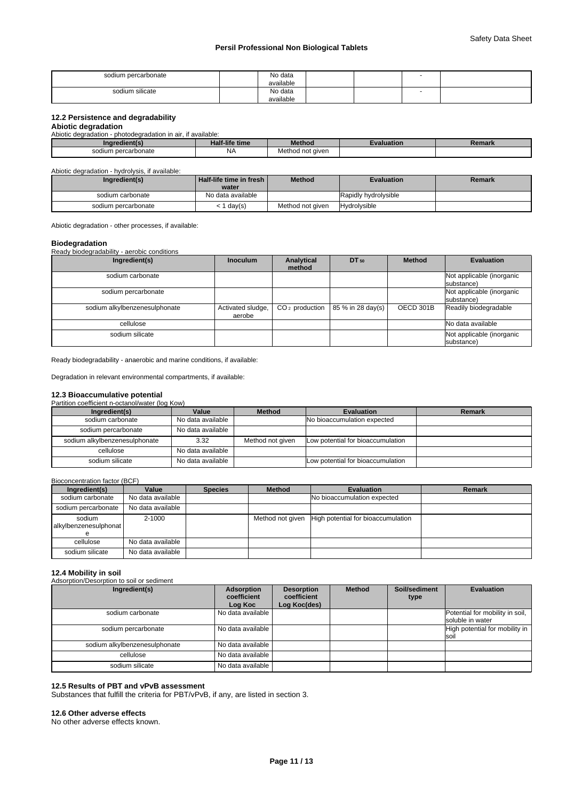| sodium percarbonate | No data<br>available |  |  |
|---------------------|----------------------|--|--|
| sodium silicate     | No data              |  |  |
|                     | available            |  |  |

# **12.2 Persistence and degradability**

**Abiotic degradation** Abiotic degradation - photodegradation in air, if available:

| Ingredient(s)       | <b>Half-life time</b> | <b>Aethod</b>    | Evaluation | Remark |
|---------------------|-----------------------|------------------|------------|--------|
| sodium percarbonate | NA.                   | Method not aiven |            |        |

Abiotic degradation - hydrolysis, if available:

| Ingredient(s)       | <b>Half-life time in fresh I</b><br>water | <b>Method</b>    | <b>Evaluation</b>    | Remark |
|---------------------|-------------------------------------------|------------------|----------------------|--------|
| sodium carbonate    | No data available                         |                  | Rapidly hydrolysible |        |
| sodium percarbonate | day(s)                                    | Method not given | <b>Hydrolysible</b>  |        |

Abiotic degradation - other processes, if available:

**Biodegradation** Ready biodegradability - aerobic conditions

| Ingredient(s)                 | <b>Inoculum</b>             | Analytical<br>method | DT 50             | <b>Method</b> | <b>Evaluation</b>                       |
|-------------------------------|-----------------------------|----------------------|-------------------|---------------|-----------------------------------------|
| sodium carbonate              |                             |                      |                   |               | Not applicable (inorganic<br>substance) |
| sodium percarbonate           |                             |                      |                   |               | Not applicable (inorganic<br>substance) |
| sodium alkylbenzenesulphonate | Activated sludge,<br>aerobe | $CO2$ production     | 85 % in 28 day(s) | OECD 301B     | Readily biodegradable                   |
| cellulose                     |                             |                      |                   |               | No data available                       |
| sodium silicate               |                             |                      |                   |               | Not applicable (inorganic<br>substance) |

Ready biodegradability - anaerobic and marine conditions, if available:

Degradation in relevant environmental compartments, if available:

# **12.3 Bioaccumulative potential**

Partition coefficient n-octanol/water (log Kow)

| Ingredient(s)                 | Value             | <b>Method</b>    | <b>Evaluation</b>                 | Remark |
|-------------------------------|-------------------|------------------|-----------------------------------|--------|
| sodium carbonate              | No data available |                  | No bioaccumulation expected       |        |
| sodium percarbonate           | No data available |                  |                                   |        |
| sodium alkylbenzenesulphonate | 3.32              | Method not given | Low potential for bioaccumulation |        |
| cellulose                     | No data available |                  |                                   |        |
| sodium silicate               | No data available |                  | Low potential for bioaccumulation |        |

Bioconcentration factor (BCF)

| Ingredient(s)                   | Value             | <b>Species</b> | <b>Method</b>    | <b>Evaluation</b>                  | Remark |
|---------------------------------|-------------------|----------------|------------------|------------------------------------|--------|
| sodium carbonate                | No data available |                |                  | No bioaccumulation expected        |        |
| sodium percarbonate             | No data available |                |                  |                                    |        |
| sodium<br>alkylbenzenesulphonat | 2-1000            |                | Method not given | High potential for bioaccumulation |        |
| cellulose                       | No data available |                |                  |                                    |        |
| sodium silicate                 | No data available |                |                  |                                    |        |

#### **12.4 Mobility in soil**

Adsorption/Desorption to soil or sediment

| Ingredient(s)                 | Adsorption<br>coefficient<br>Log Koc | <b>Desorption</b><br>coefficient<br>Log Koc(des) | <b>Method</b> | Soil/sediment<br>type | <b>Evaluation</b>                                   |
|-------------------------------|--------------------------------------|--------------------------------------------------|---------------|-----------------------|-----------------------------------------------------|
| sodium carbonate              | No data available                    |                                                  |               |                       | Potential for mobility in soil,<br>soluble in water |
| sodium percarbonate           | No data available                    |                                                  |               |                       | High potential for mobility in<br><b>soil</b>       |
| sodium alkylbenzenesulphonate | No data available                    |                                                  |               |                       |                                                     |
| cellulose                     | No data available                    |                                                  |               |                       |                                                     |
| sodium silicate               | No data available                    |                                                  |               |                       |                                                     |

# **12.5 Results of PBT and vPvB assessment**

Substances that fulfill the criteria for PBT/vPvB, if any, are listed in section 3.

#### **12.6 Other adverse effects**

No other adverse effects known.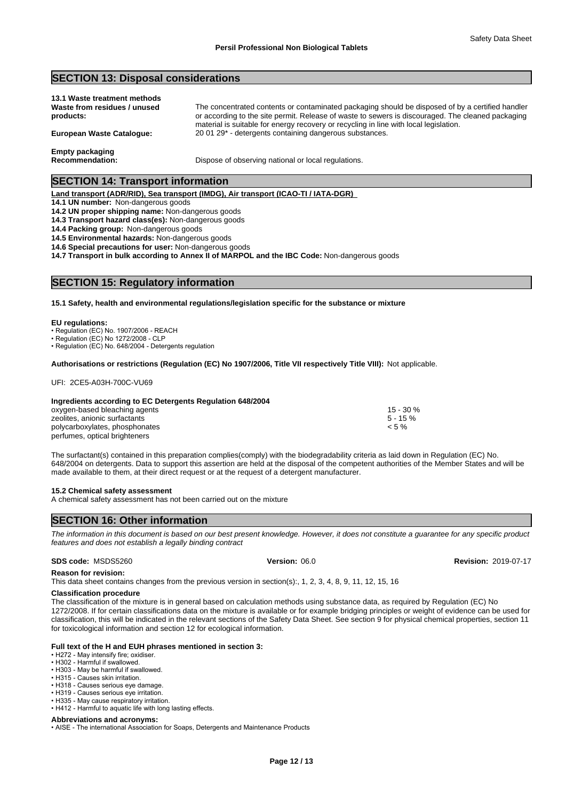material is suitable for energy recovery or recycling in line with local legislation.

# **SECTION 13: Disposal considerations**

| 13.1 Waste treatment methods |                                                                                                   |
|------------------------------|---------------------------------------------------------------------------------------------------|
| Waste from residues / unused | The concentrated contents or contaminated packaging should be disposed of by a certified handler  |
| products:                    | or according to the site permit. Release of waste to sewers is discouraged. The cleaned packaging |

**European Waste Catalogue:** 20 01 29\* - detergents containing dangerous substances.

**Empty packaging**

**Recommendation:** Dispose of observing national or local regulations.

# **SECTION 14: Transport information**

**Land transport (ADR/RID), Sea transport (IMDG), Air transport (ICAO-TI / IATA-DGR)** 

**14.1 UN number:** Non-dangerous goods

**14.2 UN proper shipping name:** Non-dangerous goods

**14.3 Transport hazard class(es):** Non-dangerous goods

**14.4 Packing group:** Non-dangerous goods

**14.5 Environmental hazards:** Non-dangerous goods

**14.6 Special precautions for user:** Non-dangerous goods

**14.7 Transport in bulk according to Annex II of MARPOL and the IBC Code:** Non-dangerous goods

# **SECTION 15: Regulatory information**

#### **15.1 Safety, health and environmental regulations/legislation specific for the substance or mixture**

#### **EU regulations:**

• Regulation (EC) No. 1907/2006 - REACH

• Regulation (EC) No 1272/2008 - CLP

• Regulation (EC) No. 648/2004 - Detergents regulation

#### **Authorisations or restrictions (Regulation (EC) No 1907/2006, Title VII respectively Title VIII):** Not applicable.

UFI: 2CE5-A03H-700C-VU69

# **Ingredients according to EC Detergents Regulation 648/2004**

oxygen-based bleaching agents 15 - 30 % zeolites, anionic surfactants  $\sim$  5 - 15 % obverted to the surfactants  $\sim$  5 - 15 % obverted to the surfactants of  $\sim$  5 % polycarboxylates, phosphonates perfumes, optical brighteners

The surfactant(s) contained in this preparation complies(comply) with the biodegradability criteria as laid down in Regulation (EC) No. 648/2004 on detergents. Data to support this assertion are held at the disposal of the competent authorities of the Member States and will be made available to them, at their direct request or at the request of a detergent manufacturer.

#### **15.2 Chemical safety assessment**

A chemical safety assessment has not been carried out on the mixture

# **SECTION 16: Other information**

*The information in this document is based on our best present knowledge. However, it does not constitute a guarantee for any specific product features and does not establish a legally binding contract*

#### **SDS code:** MSDS5260 **Version:** 06.0 **Revision:** 2019-07-17

**Reason for revision:**

This data sheet contains changes from the previous version in section(s):, 1, 2, 3, 4, 8, 9, 11, 12, 15, 16

# **Classification procedure**

The classification of the mixture is in general based on calculation methods using substance data, as required by Regulation (EC) No 1272/2008. If for certain classifications data on the mixture is available or for example bridging principles or weight of evidence can be used for classification, this will be indicated in the relevant sections of the Safety Data Sheet. See section 9 for physical chemical properties, section 11 for toxicological information and section 12 for ecological information.

# **Full text of the H and EUH phrases mentioned in section 3:**

• H272 - May intensify fire; oxidiser.

- H302 Harmful if swallowed.
- H303 May be harmful if swallowed.
- H315 Causes skin irritation.
- H318 Causes serious eye damage. • H319 - Causes serious eve irritation.
- H335 May cause respiratory irritation.
- H412 Harmful to aquatic life with long lasting effects.

#### **Abbreviations and acronyms:**

• AISE - The international Association for Soaps, Detergents and Maintenance Products